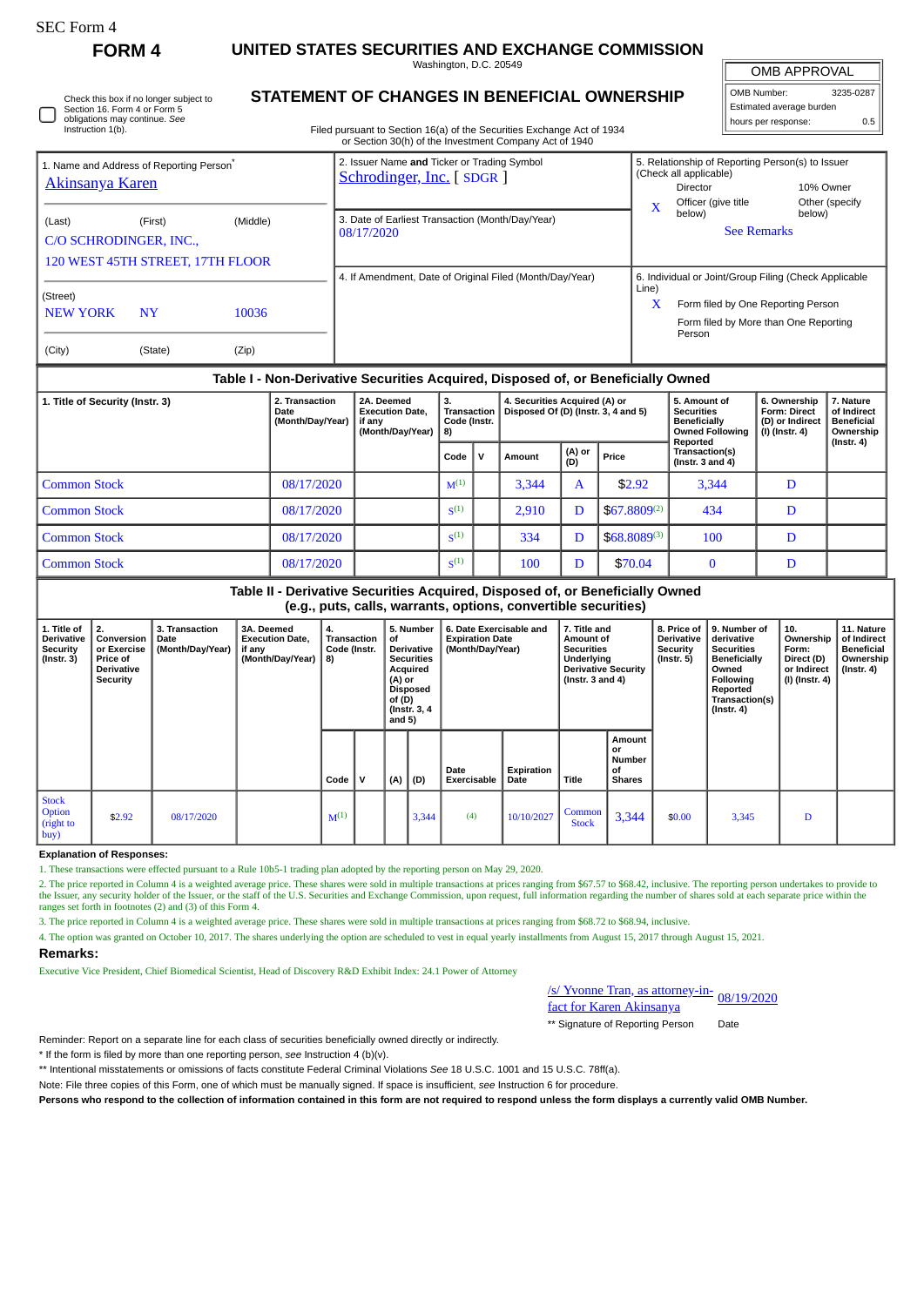## **FORM 4 UNITED STATES SECURITIES AND EXCHANGE COMMISSION**

Washington, D.C. 20549 **STATEMENT OF CHANGES IN BENEFICIAL OWNERSHIP**

OMB APPROVAL

OMB Number: 3235-0287 Estimated average burden hours per response: 0.5

| Section 16. Form 4 or Form 5<br>obligations may continue. See                               | Check this box if no longer subject to |       |  | STATEMENT OF CHANGES IN BENEFICTAL OWNERSHIP                            |                                                   |                                                                                                                                  | Estimated average burden<br>0.5<br>hours per response: |                                                                             |                                                                                  |                                                            |  |
|---------------------------------------------------------------------------------------------|----------------------------------------|-------|--|-------------------------------------------------------------------------|---------------------------------------------------|----------------------------------------------------------------------------------------------------------------------------------|--------------------------------------------------------|-----------------------------------------------------------------------------|----------------------------------------------------------------------------------|------------------------------------------------------------|--|
| Instruction 1(b).                                                                           |                                        |       |  |                                                                         |                                                   | Filed pursuant to Section 16(a) of the Securities Exchange Act of 1934<br>or Section 30(h) of the Investment Company Act of 1940 |                                                        |                                                                             |                                                                                  |                                                            |  |
| 1. Name and Address of Reporting Person <sup>®</sup><br><u>Akinsanya Karen</u>              |                                        |       |  | 2. Issuer Name and Ticker or Trading Symbol<br>Schrodinger, Inc. [SDGR] |                                                   |                                                                                                                                  | $\mathbf{x}$                                           | (Check all applicable)<br><b>Director</b><br>Officer (give title            | 5. Relationship of Reporting Person(s) to Issuer<br>10% Owner<br>Other (specify  |                                                            |  |
| (Middle)<br>(Last)<br>(First)<br>C/O SCHRODINGER, INC.,<br>120 WEST 45TH STREET, 17TH FLOOR |                                        |       |  | 3. Date of Earliest Transaction (Month/Day/Year)<br>08/17/2020          |                                                   |                                                                                                                                  | below)<br>below)<br><b>See Remarks</b>                 |                                                                             |                                                                                  |                                                            |  |
| (Street)                                                                                    |                                        |       |  |                                                                         |                                                   | 4. If Amendment, Date of Original Filed (Month/Day/Year)                                                                         | Line)                                                  |                                                                             | 6. Individual or Joint/Group Filing (Check Applicable                            |                                                            |  |
| <b>NEW YORK</b>                                                                             | <b>NY</b>                              | 10036 |  |                                                                         |                                                   |                                                                                                                                  | X                                                      | Person                                                                      | Form filed by One Reporting Person<br>Form filed by More than One Reporting      |                                                            |  |
| (City)                                                                                      | (State)                                | (Zip) |  |                                                                         |                                                   |                                                                                                                                  |                                                        |                                                                             |                                                                                  |                                                            |  |
|                                                                                             |                                        |       |  |                                                                         |                                                   | Table I - Non-Derivative Securities Acquired, Disposed of, or Beneficially Owned                                                 |                                                        |                                                                             |                                                                                  |                                                            |  |
| 2. Transaction<br>1. Title of Security (Instr. 3)<br>Date<br>(Month/Day/Year)               |                                        |       |  | 2A. Deemed<br><b>Execution Date.</b><br>if any<br>(Manth/Dav/Vaar)      | 3.<br>Transaction<br>Code (Instr.<br>$\mathbf{a}$ | 4. Securities Acquired (A) or<br>Disposed Of (D) (Instr. 3, 4 and 5)                                                             |                                                        | 5. Amount of<br><b>Securities</b><br><b>Beneficially</b><br>Owned Following | 6. Ownership<br><b>Form: Direct</b><br>(D) or Indirect<br>$\ln$ fincts $\Lambda$ | 7. Nature<br>of Indirect<br><b>Beneficial</b><br>Ownorchin |  |

|                     | (Month/Day/Year) | l if anv<br>(Month/Day/Year) | Code (Instr.<br>8) |  | .      |               |                   | Beneficially<br><b>Owned Following</b><br>Reported | (D) or Indirect<br>$(I)$ (Instr. 4) | Beneficial<br>Ownership<br>$($ Instr. 4 $)$ |
|---------------------|------------------|------------------------------|--------------------|--|--------|---------------|-------------------|----------------------------------------------------|-------------------------------------|---------------------------------------------|
|                     |                  |                              | Code               |  | Amount | (A) or<br>(D) | Price             | Transaction(s)<br>(Instr. $3$ and $4$ )            |                                     |                                             |
| <b>Common Stock</b> | 08/17/2020       |                              | $M^{(1)}$          |  | 3,344  | A             | \$2.92            | 3,344                                              | D                                   |                                             |
| <b>Common Stock</b> | 08/17/2020       |                              | $S^{(1)}$          |  | 2,910  | D             | $$67.8809^{(2)}$$ | 434                                                | D                                   |                                             |
| <b>Common Stock</b> | 08/17/2020       |                              | S <sup>(1)</sup>   |  | 334    | D             | $$68.8089^{(3)}$$ | 100                                                | D                                   |                                             |
| <b>Common Stock</b> | 08/17/2020       |                              | $S^{(1)}$          |  | 100    | D             | \$70.04           |                                                    | D                                   |                                             |

**Table II - Derivative Securities Acquired, Disposed of, or Beneficially Owned (e.g., puts, calls, warrants, options, convertible securities)**

| 1. Title of<br>Derivative<br><b>Security</b><br>$($ Instr. 3 $)$ | 2.<br>Conversion<br>or Exercise<br>Price of<br>Derivative<br>Security | 3. Transaction<br>Date<br>(Month/Day/Year) | 3A. Deemed<br><b>Execution Date,</b><br>if any<br>(Month/Day/Year) | 4.<br>Transaction<br>Code (Instr.<br>  8) |     | 5. Number<br>of<br><b>Derivative</b><br><b>Securities</b><br>Acquired<br>(A) or<br><b>Disposed</b><br>of (D)<br>(Instr. 3, 4)<br>and $5)$ |       | 6. Date Exercisable and<br><b>Expiration Date</b><br>(Month/Day/Year) |                    | 7. Title and<br>Amount of<br><b>Securities</b><br>Underlying<br><b>Derivative Security</b><br>(Instr. $3$ and $4$ ) |                                               | 8. Price of<br><b>Derivative</b><br><b>Security</b><br>(Instr. 5) | 9. Number of<br>derivative<br><b>Securities</b><br>Beneficially<br>Owned<br><b>Following</b><br>Reported<br>Transaction(s)<br>$($ Instr. 4 $)$ | 10.<br>Ownership<br>Form:<br>Direct (D)<br>or Indirect<br>(I) (Instr. 4) | 11. Nature<br>of Indirect<br><b>Beneficial</b><br>Ownership<br>(Instr. 4) |
|------------------------------------------------------------------|-----------------------------------------------------------------------|--------------------------------------------|--------------------------------------------------------------------|-------------------------------------------|-----|-------------------------------------------------------------------------------------------------------------------------------------------|-------|-----------------------------------------------------------------------|--------------------|---------------------------------------------------------------------------------------------------------------------|-----------------------------------------------|-------------------------------------------------------------------|------------------------------------------------------------------------------------------------------------------------------------------------|--------------------------------------------------------------------------|---------------------------------------------------------------------------|
|                                                                  |                                                                       |                                            |                                                                    | Code                                      | . v | (A)                                                                                                                                       | (D)   | Date<br><b>Exercisable</b>                                            | Expiration<br>Date | <b>Title</b>                                                                                                        | Amount<br>or<br>Number<br>οf<br><b>Shares</b> |                                                                   |                                                                                                                                                |                                                                          |                                                                           |
| <b>Stock</b><br><b>Option</b><br>(right to<br> buy)              | \$2.92                                                                | 08/17/2020                                 |                                                                    | $M^{(1)}$                                 |     |                                                                                                                                           | 3,344 | (4)                                                                   | 10/10/2027         | Common<br><b>Stock</b>                                                                                              | 3,344                                         | \$0.00                                                            | 3,345                                                                                                                                          | D                                                                        |                                                                           |

**Explanation of Responses:**

1. These transactions were effected pursuant to a Rule 10b5-1 trading plan adopted by the reporting person on May 29, 2020.

2. The price reported in Column 4 is a weighted average price. These shares were sold in multiple transactions at prices ranging from \$67.57 to \$68.42, inclusive. The reporting person undertakes to provide to<br>the Issuer, a ranges set forth in footnotes (2) and (3) of this Form 4.

3. The price reported in Column 4 is a weighted average price. These shares were sold in multiple transactions at prices ranging from \$68.72 to \$68.94, inclusive.

4. The option was granted on October 10, 2017. The shares underlying the option are scheduled to vest in equal yearly installments from August 15, 2017 through August 15, 2021.

**Remarks:**

Executive Vice President, Chief Biomedical Scientist, Head of Discovery R&D Exhibit Index: 24.1 Power of Attorney

| s/ Yvonne Tran, as attorney-in-<br>08/19/2020 |  |
|-----------------------------------------------|--|
| fact for Karen Akinsanya                      |  |

\*\* Signature of Reporting Person Date

Reminder: Report on a separate line for each class of securities beneficially owned directly or indirectly.

\* If the form is filed by more than one reporting person, *see* Instruction 4 (b)(v).

\*\* Intentional misstatements or omissions of facts constitute Federal Criminal Violations *See* 18 U.S.C. 1001 and 15 U.S.C. 78ff(a).

Note: File three copies of this Form, one of which must be manually signed. If space is insufficient, *see* Instruction 6 for procedure.

**Persons who respond to the collection of information contained in this form are not required to respond unless the form displays a currently valid OMB Number.**